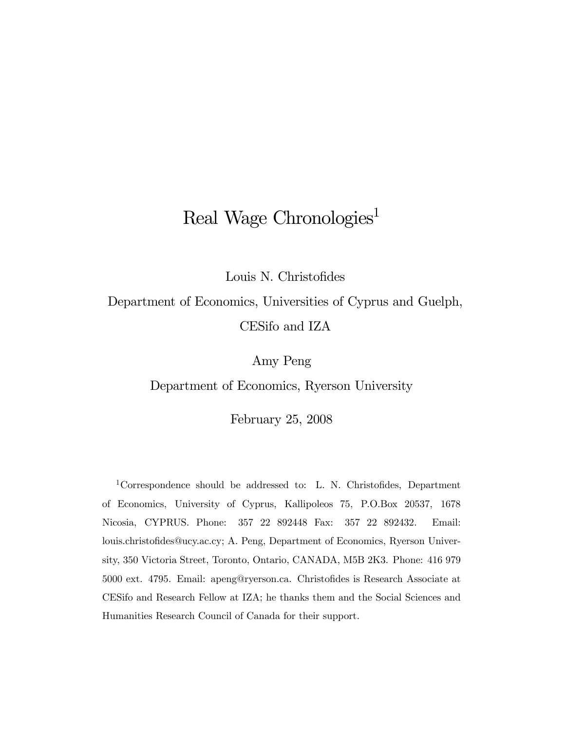# Real Wage Chronologies<sup>1</sup>

Louis N. Christofides

Department of Economics, Universities of Cyprus and Guelph, CESifo and IZA

Amy Peng

Department of Economics, Ryerson University

February 25, 2008

1Correspondence should be addressed to: L. N. Christofides, Department of Economics, University of Cyprus, Kallipoleos 75, P.O.Box 20537, 1678 Nicosia, CYPRUS. Phone: 357 22 892448 Fax: 357 22 892432. Email: louis.christofides@ucy.ac.cy; A. Peng, Department of Economics, Ryerson University, 350 Victoria Street, Toronto, Ontario, CANADA, M5B 2K3. Phone: 416 979 5000 ext. 4795. Email: apeng@ryerson.ca. Christofides is Research Associate at CESifo and Research Fellow at IZA; he thanks them and the Social Sciences and Humanities Research Council of Canada for their support.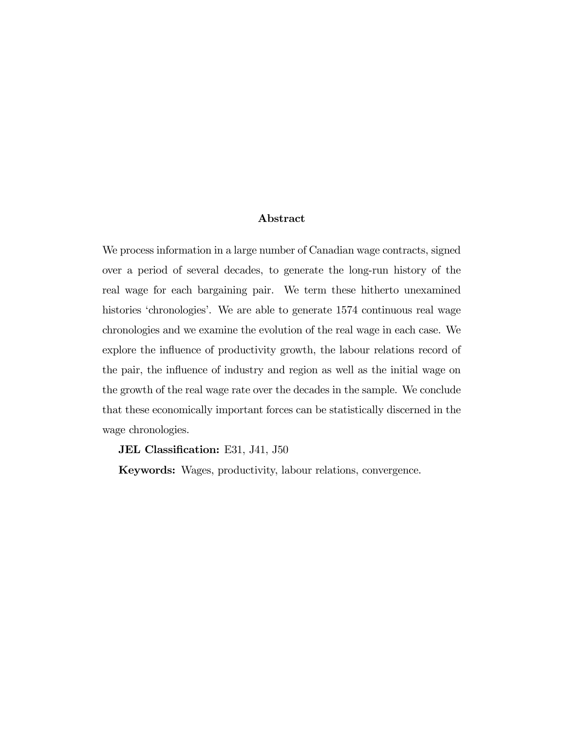#### Abstract

We process information in a large number of Canadian wage contracts, signed over a period of several decades, to generate the long-run history of the real wage for each bargaining pair. We term these hitherto unexamined histories 'chronologies'. We are able to generate 1574 continuous real wage chronologies and we examine the evolution of the real wage in each case. We explore the influence of productivity growth, the labour relations record of the pair, the influence of industry and region as well as the initial wage on the growth of the real wage rate over the decades in the sample. We conclude that these economically important forces can be statistically discerned in the wage chronologies.

JEL Classification: E31, J41, J50

Keywords: Wages, productivity, labour relations, convergence.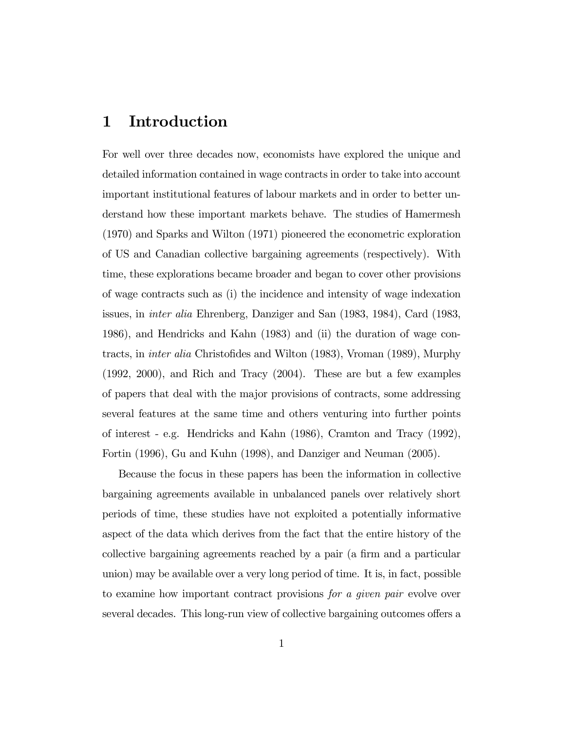### 1 Introduction

For well over three decades now, economists have explored the unique and detailed information contained in wage contracts in order to take into account important institutional features of labour markets and in order to better understand how these important markets behave. The studies of Hamermesh (1970) and Sparks and Wilton (1971) pioneered the econometric exploration of US and Canadian collective bargaining agreements (respectively). With time, these explorations became broader and began to cover other provisions of wage contracts such as (i) the incidence and intensity of wage indexation issues, in inter alia Ehrenberg, Danziger and San (1983, 1984), Card (1983, 1986), and Hendricks and Kahn (1983) and (ii) the duration of wage contracts, in inter alia Christofides and Wilton (1983), Vroman (1989), Murphy (1992, 2000), and Rich and Tracy (2004). These are but a few examples of papers that deal with the major provisions of contracts, some addressing several features at the same time and others venturing into further points of interest - e.g. Hendricks and Kahn (1986), Cramton and Tracy (1992), Fortin (1996), Gu and Kuhn (1998), and Danziger and Neuman (2005).

Because the focus in these papers has been the information in collective bargaining agreements available in unbalanced panels over relatively short periods of time, these studies have not exploited a potentially informative aspect of the data which derives from the fact that the entire history of the collective bargaining agreements reached by a pair (a firm and a particular union) may be available over a very long period of time. It is, in fact, possible to examine how important contract provisions for a given pair evolve over several decades. This long-run view of collective bargaining outcomes offers a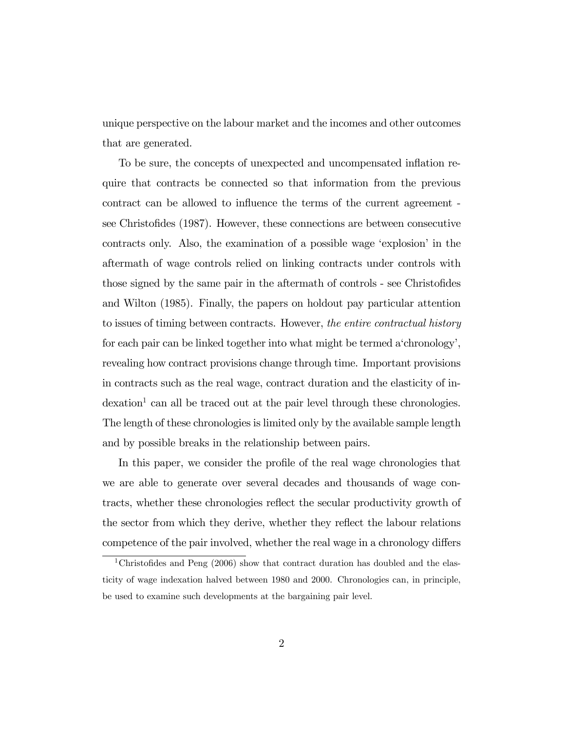unique perspective on the labour market and the incomes and other outcomes that are generated.

To be sure, the concepts of unexpected and uncompensated inflation require that contracts be connected so that information from the previous contract can be allowed to influence the terms of the current agreement see Christofides (1987). However, these connections are between consecutive contracts only. Also, the examination of a possible wage 'explosion' in the aftermath of wage controls relied on linking contracts under controls with those signed by the same pair in the aftermath of controls - see Christofides and Wilton (1985). Finally, the papers on holdout pay particular attention to issues of timing between contracts. However, the entire contractual history for each pair can be linked together into what might be termed a'chronology', revealing how contract provisions change through time. Important provisions in contracts such as the real wage, contract duration and the elasticity of in- $\alpha$  dexation<sup>1</sup> can all be traced out at the pair level through these chronologies. The length of these chronologies is limited only by the available sample length and by possible breaks in the relationship between pairs.

In this paper, we consider the profile of the real wage chronologies that we are able to generate over several decades and thousands of wage contracts, whether these chronologies reflect the secular productivity growth of the sector from which they derive, whether they reflect the labour relations competence of the pair involved, whether the real wage in a chronology differs

<sup>&</sup>lt;sup>1</sup>Christofides and Peng  $(2006)$  show that contract duration has doubled and the elasticity of wage indexation halved between 1980 and 2000. Chronologies can, in principle, be used to examine such developments at the bargaining pair level.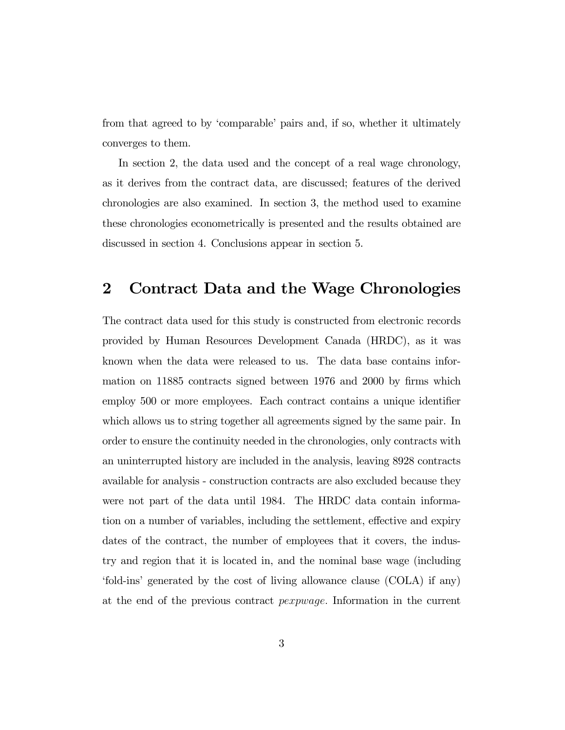from that agreed to by 'comparable' pairs and, if so, whether it ultimately converges to them.

In section 2, the data used and the concept of a real wage chronology, as it derives from the contract data, are discussed; features of the derived chronologies are also examined. In section 3, the method used to examine these chronologies econometrically is presented and the results obtained are discussed in section 4. Conclusions appear in section 5.

#### 2 Contract Data and the Wage Chronologies

The contract data used for this study is constructed from electronic records provided by Human Resources Development Canada (HRDC), as it was known when the data were released to us. The data base contains information on 11885 contracts signed between 1976 and 2000 by firms which employ 500 or more employees. Each contract contains a unique identifier which allows us to string together all agreements signed by the same pair. In order to ensure the continuity needed in the chronologies, only contracts with an uninterrupted history are included in the analysis, leaving 8928 contracts available for analysis - construction contracts are also excluded because they were not part of the data until 1984. The HRDC data contain information on a number of variables, including the settlement, effective and expiry dates of the contract, the number of employees that it covers, the industry and region that it is located in, and the nominal base wage (including 'fold-ins' generated by the cost of living allowance clause (COLA) if any) at the end of the previous contract pexpwage. Information in the current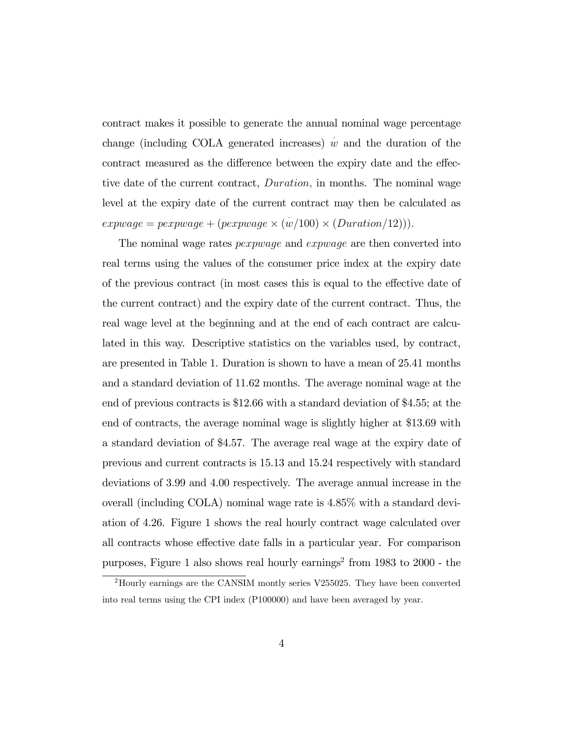contract makes it possible to generate the annual nominal wage percentage change (including COLA generated increases)  $\dot{w}$  and the duration of the contract measured as the difference between the expiry date and the effective date of the current contract, Duration, in months. The nominal wage level at the expiry date of the current contract may then be calculated as  $exp wage = pexp wage + (pexpwage \times (w/100) \times (Duration/12))).$ 

The nominal wage rates *pexpwage* and *expwage* are then converted into real terms using the values of the consumer price index at the expiry date of the previous contract (in most cases this is equal to the effective date of the current contract) and the expiry date of the current contract. Thus, the real wage level at the beginning and at the end of each contract are calculated in this way. Descriptive statistics on the variables used, by contract, are presented in Table 1. Duration is shown to have a mean of 25.41 months and a standard deviation of 11.62 months. The average nominal wage at the end of previous contracts is \$12.66 with a standard deviation of \$4.55; at the end of contracts, the average nominal wage is slightly higher at \$13.69 with a standard deviation of \$4.57. The average real wage at the expiry date of previous and current contracts is 15.13 and 15.24 respectively with standard deviations of 3.99 and 4.00 respectively. The average annual increase in the overall (including COLA) nominal wage rate is 4.85% with a standard deviation of 4.26. Figure 1 shows the real hourly contract wage calculated over all contracts whose effective date falls in a particular year. For comparison purposes, Figure 1 also shows real hourly earnings<sup>2</sup> from  $1983$  to  $2000$  - the

<sup>2</sup>Hourly earnings are the CANSIM montly series V255025. They have been converted into real terms using the CPI index (P100000) and have been averaged by year.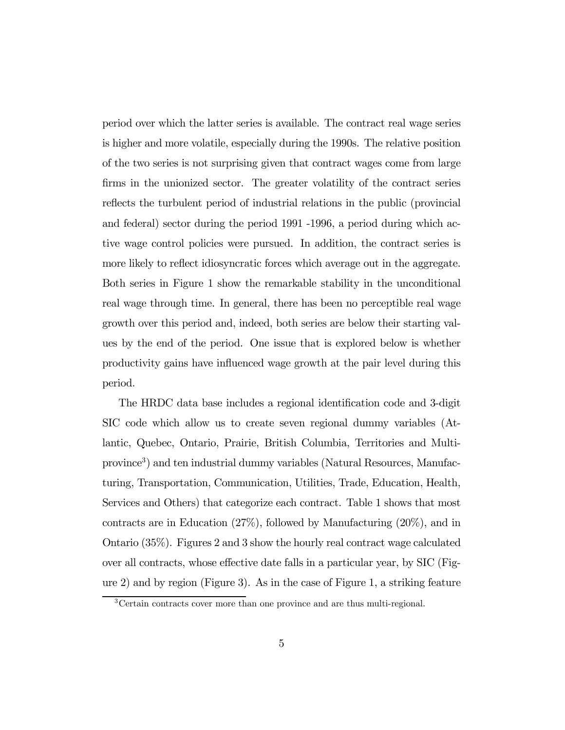period over which the latter series is available. The contract real wage series is higher and more volatile, especially during the 1990s. The relative position of the two series is not surprising given that contract wages come from large firms in the unionized sector. The greater volatility of the contract series reflects the turbulent period of industrial relations in the public (provincial and federal) sector during the period 1991 -1996, a period during which active wage control policies were pursued. In addition, the contract series is more likely to reflect idiosyncratic forces which average out in the aggregate. Both series in Figure 1 show the remarkable stability in the unconditional real wage through time. In general, there has been no perceptible real wage growth over this period and, indeed, both series are below their starting values by the end of the period. One issue that is explored below is whether productivity gains have influenced wage growth at the pair level during this period.

The HRDC data base includes a regional identification code and 3-digit SIC code which allow us to create seven regional dummy variables (Atlantic, Quebec, Ontario, Prairie, British Columbia, Territories and Multiprovince3) and ten industrial dummy variables (Natural Resources, Manufacturing, Transportation, Communication, Utilities, Trade, Education, Health, Services and Others) that categorize each contract. Table 1 shows that most contracts are in Education (27%), followed by Manufacturing (20%), and in Ontario (35%). Figures 2 and 3 show the hourly real contract wage calculated over all contracts, whose effective date falls in a particular year, by SIC (Figure 2) and by region (Figure 3). As in the case of Figure 1, a striking feature

<sup>3</sup>Certain contracts cover more than one province and are thus multi-regional.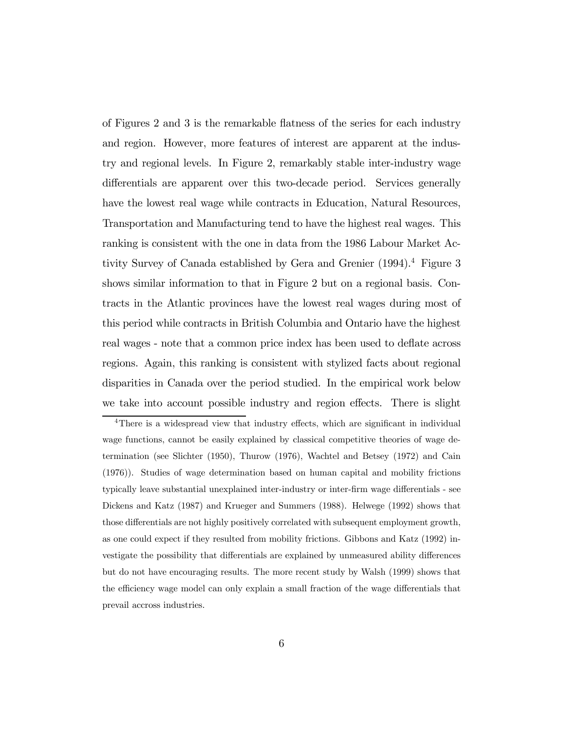of Figures 2 and 3 is the remarkable flatness of the series for each industry and region. However, more features of interest are apparent at the industry and regional levels. In Figure 2, remarkably stable inter-industry wage differentials are apparent over this two-decade period. Services generally have the lowest real wage while contracts in Education, Natural Resources, Transportation and Manufacturing tend to have the highest real wages. This ranking is consistent with the one in data from the 1986 Labour Market Activity Survey of Canada established by Gera and Grenier (1994).<sup>4</sup> Figure 3 shows similar information to that in Figure 2 but on a regional basis. Contracts in the Atlantic provinces have the lowest real wages during most of this period while contracts in British Columbia and Ontario have the highest real wages - note that a common price index has been used to deflate across regions. Again, this ranking is consistent with stylized facts about regional disparities in Canada over the period studied. In the empirical work below we take into account possible industry and region effects. There is slight

<sup>&</sup>lt;sup>4</sup>There is a widespread view that industry effects, which are significant in individual wage functions, cannot be easily explained by classical competitive theories of wage determination (see Slichter (1950), Thurow (1976), Wachtel and Betsey (1972) and Cain (1976)). Studies of wage determination based on human capital and mobility frictions typically leave substantial unexplained inter-industry or inter-firm wage differentials - see Dickens and Katz (1987) and Krueger and Summers (1988). Helwege (1992) shows that those differentials are not highly positively correlated with subsequent employment growth, as one could expect if they resulted from mobility frictions. Gibbons and Katz (1992) investigate the possibility that differentials are explained by unmeasured ability differences but do not have encouraging results. The more recent study by Walsh (1999) shows that the efficiency wage model can only explain a small fraction of the wage differentials that prevail accross industries.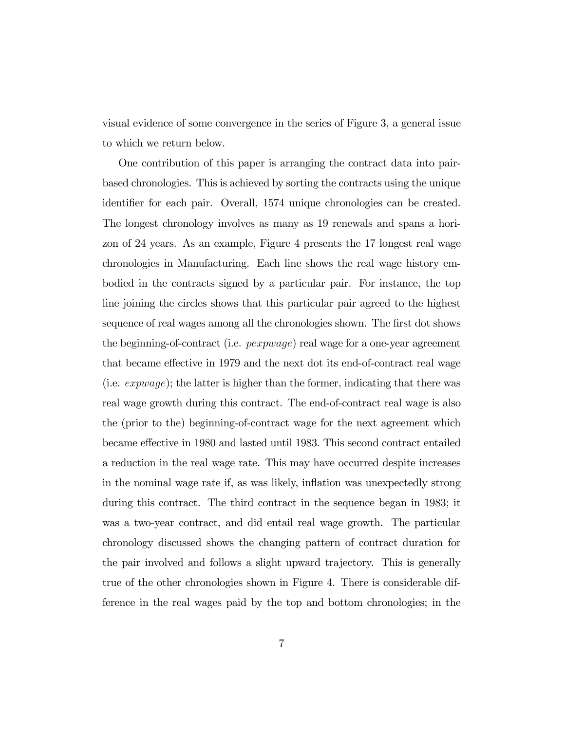visual evidence of some convergence in the series of Figure 3, a general issue to which we return below.

One contribution of this paper is arranging the contract data into pairbased chronologies. This is achieved by sorting the contracts using the unique identifier for each pair. Overall, 1574 unique chronologies can be created. The longest chronology involves as many as 19 renewals and spans a horizon of 24 years. As an example, Figure 4 presents the 17 longest real wage chronologies in Manufacturing. Each line shows the real wage history embodied in the contracts signed by a particular pair. For instance, the top line joining the circles shows that this particular pair agreed to the highest sequence of real wages among all the chronologies shown. The first dot shows the beginning-of-contract (i.e. pexpwage) real wage for a one-year agreement that became effective in 1979 and the next dot its end-of-contract real wage (i.e. expwage); the latter is higher than the former, indicating that there was real wage growth during this contract. The end-of-contract real wage is also the (prior to the) beginning-of-contract wage for the next agreement which became effective in 1980 and lasted until 1983. This second contract entailed a reduction in the real wage rate. This may have occurred despite increases in the nominal wage rate if, as was likely, inflation was unexpectedly strong during this contract. The third contract in the sequence began in 1983; it was a two-year contract, and did entail real wage growth. The particular chronology discussed shows the changing pattern of contract duration for the pair involved and follows a slight upward trajectory. This is generally true of the other chronologies shown in Figure 4. There is considerable difference in the real wages paid by the top and bottom chronologies; in the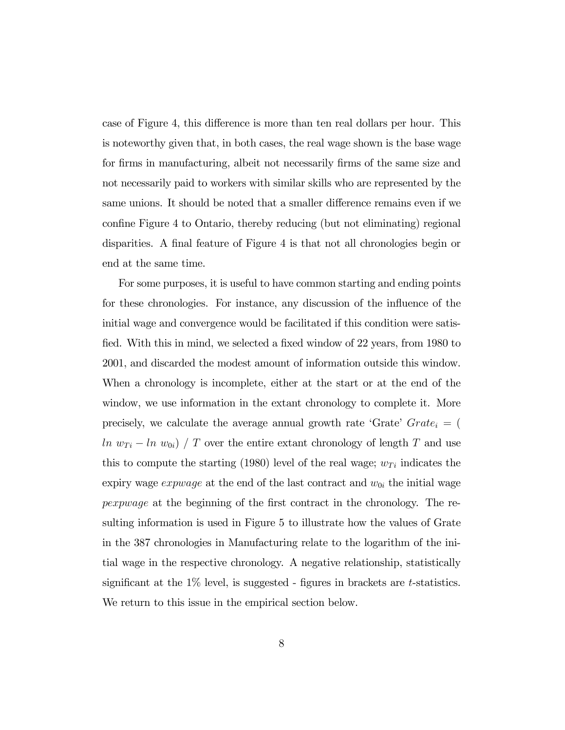case of Figure 4, this difference is more than ten real dollars per hour. This is noteworthy given that, in both cases, the real wage shown is the base wage for firms in manufacturing, albeit not necessarily firms of the same size and not necessarily paid to workers with similar skills who are represented by the same unions. It should be noted that a smaller difference remains even if we confine Figure 4 to Ontario, thereby reducing (but not eliminating) regional disparities. A final feature of Figure 4 is that not all chronologies begin or end at the same time.

For some purposes, it is useful to have common starting and ending points for these chronologies. For instance, any discussion of the influence of the initial wage and convergence would be facilitated if this condition were satisfied. With this in mind, we selected a fixed window of 22 years, from 1980 to 2001, and discarded the modest amount of information outside this window. When a chronology is incomplete, either at the start or at the end of the window, we use information in the extant chronology to complete it. More precisely, we calculate the average annual growth rate 'Grate'  $Grate_i$  = ( ln  $w_{Ti} - ln w_{0i}$  / T over the entire extant chronology of length T and use this to compute the starting (1980) level of the real wage;  $w_{Ti}$  indicates the expiry wage *expwage* at the end of the last contract and  $w_{0i}$  the initial wage pexpwage at the beginning of the first contract in the chronology. The resulting information is used in Figure 5 to illustrate how the values of Grate in the 387 chronologies in Manufacturing relate to the logarithm of the initial wage in the respective chronology. A negative relationship, statistically significant at the  $1\%$  level, is suggested - figures in brackets are t-statistics. We return to this issue in the empirical section below.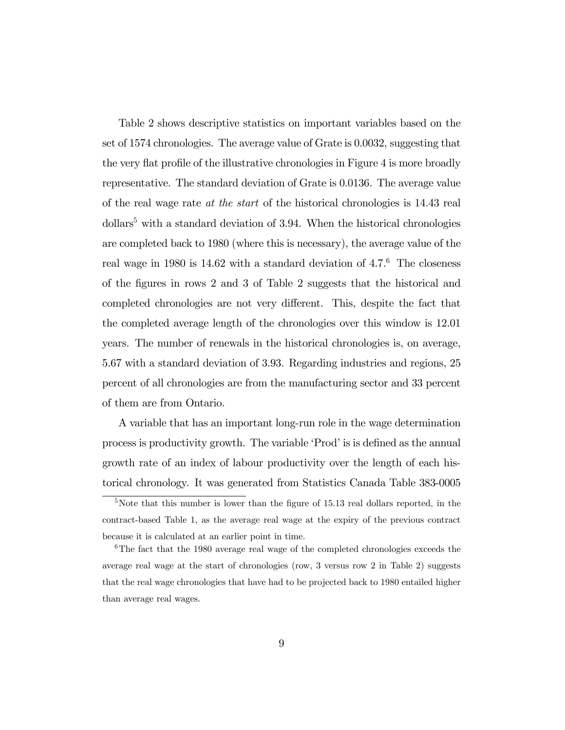Table 2 shows descriptive statistics on important variables based on the set of 1574 chronologies. The average value of Grate is 0.0032, suggesting that the very flat profile of the illustrative chronologies in Figure 4 is more broadly representative. The standard deviation of Grate is 0.0136. The average value of the real wage rate at the start of the historical chronologies is 14.43 real  $dollars<sup>5</sup>$  with a standard deviation of 3.94. When the historical chronologies are completed back to 1980 (where this is necessary), the average value of the real wage in 1980 is  $14.62$  with a standard deviation of  $4.7<sup>6</sup>$  The closeness of the figures in rows 2 and 3 of Table 2 suggests that the historical and completed chronologies are not very different. This, despite the fact that the completed average length of the chronologies over this window is 12.01 years. The number of renewals in the historical chronologies is, on average, 5.67 with a standard deviation of 3.93. Regarding industries and regions, 25 percent of all chronologies are from the manufacturing sector and 33 percent of them are from Ontario.

A variable that has an important long-run role in the wage determination process is productivity growth. The variable 'Prod' is is defined as the annual growth rate of an index of labour productivity over the length of each historical chronology. It was generated from Statistics Canada Table 383-0005

<sup>&</sup>lt;sup>5</sup>Note that this number is lower than the figure of 15.13 real dollars reported, in the contract-based Table 1, as the average real wage at the expiry of the previous contract because it is calculated at an earlier point in time.

<sup>&</sup>lt;sup>6</sup>The fact that the 1980 average real wage of the completed chronologies exceeds the average real wage at the start of chronologies (row, 3 versus row 2 in Table 2) suggests that the real wage chronologies that have had to be projected back to 1980 entailed higher than average real wages.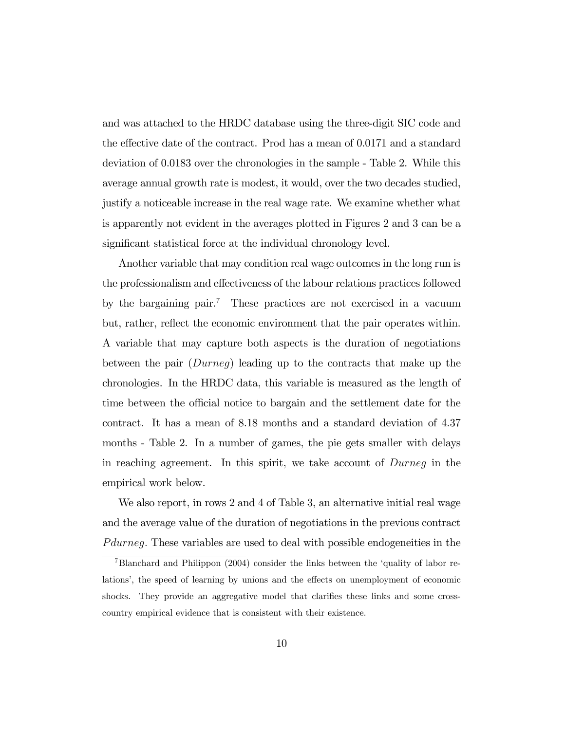and was attached to the HRDC database using the three-digit SIC code and the effective date of the contract. Prod has a mean of 0.0171 and a standard deviation of 0.0183 over the chronologies in the sample - Table 2. While this average annual growth rate is modest, it would, over the two decades studied, justify a noticeable increase in the real wage rate. We examine whether what is apparently not evident in the averages plotted in Figures 2 and 3 can be a significant statistical force at the individual chronology level.

Another variable that may condition real wage outcomes in the long run is the professionalism and effectiveness of the labour relations practices followed by the bargaining pair.<sup>7</sup> These practices are not exercised in a vacuum but, rather, reflect the economic environment that the pair operates within. A variable that may capture both aspects is the duration of negotiations between the pair (Durneg) leading up to the contracts that make up the chronologies. In the HRDC data, this variable is measured as the length of time between the official notice to bargain and the settlement date for the contract. It has a mean of 8.18 months and a standard deviation of 4.37 months - Table 2. In a number of games, the pie gets smaller with delays in reaching agreement. In this spirit, we take account of Durneg in the empirical work below.

We also report, in rows 2 and 4 of Table 3, an alternative initial real wage and the average value of the duration of negotiations in the previous contract P during. These variables are used to deal with possible endogeneities in the

<sup>&</sup>lt;sup>7</sup>Blanchard and Philippon (2004) consider the links between the 'quality of labor relations', the speed of learning by unions and the effects on unemployment of economic shocks. They provide an aggregative model that clarifies these links and some crosscountry empirical evidence that is consistent with their existence.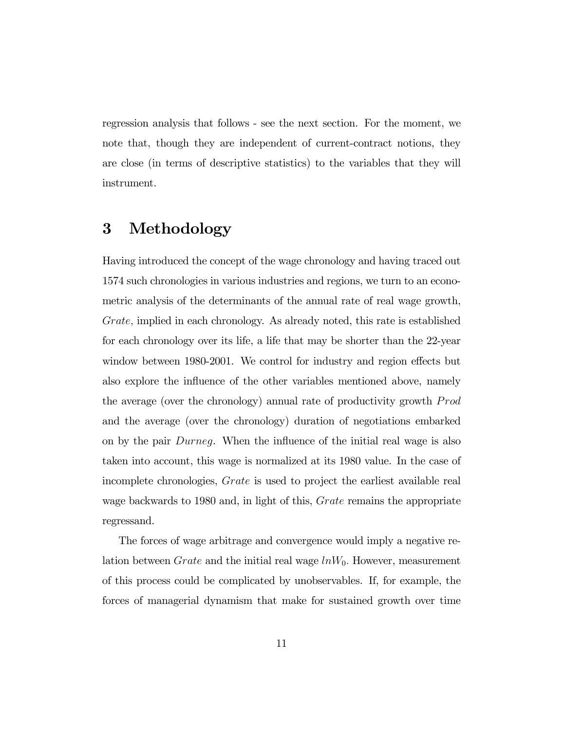regression analysis that follows - see the next section. For the moment, we note that, though they are independent of current-contract notions, they are close (in terms of descriptive statistics) to the variables that they will instrument.

# 3 Methodology

Having introduced the concept of the wage chronology and having traced out 1574 such chronologies in various industries and regions, we turn to an econometric analysis of the determinants of the annual rate of real wage growth, Grate, implied in each chronology. As already noted, this rate is established for each chronology over its life, a life that may be shorter than the 22-year window between 1980-2001. We control for industry and region effects but also explore the influence of the other variables mentioned above, namely the average (over the chronology) annual rate of productivity growth *Prod* and the average (over the chronology) duration of negotiations embarked on by the pair Durneg. When the influence of the initial real wage is also taken into account, this wage is normalized at its 1980 value. In the case of incomplete chronologies, Grate is used to project the earliest available real wage backwards to 1980 and, in light of this, *Grate* remains the appropriate regressand.

The forces of wage arbitrage and convergence would imply a negative relation between  $Grate$  and the initial real wage  $lnW_0$ . However, measurement of this process could be complicated by unobservables. If, for example, the forces of managerial dynamism that make for sustained growth over time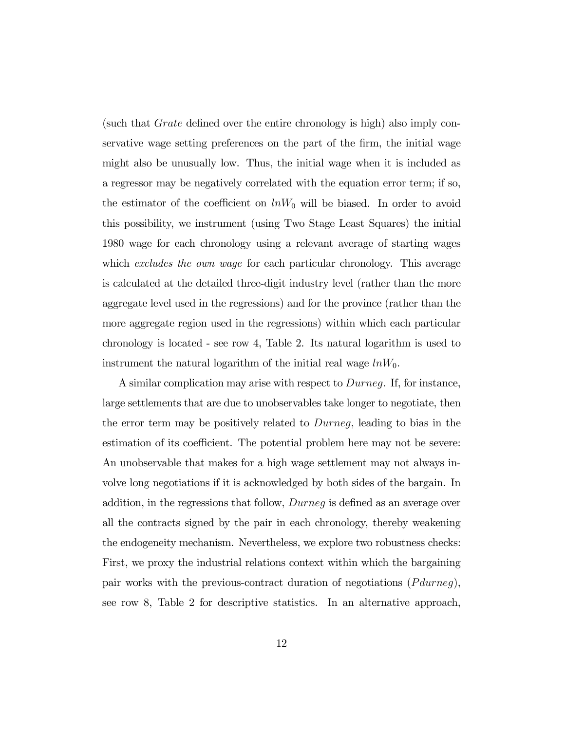(such that Grate defined over the entire chronology is high) also imply conservative wage setting preferences on the part of the firm, the initial wage might also be unusually low. Thus, the initial wage when it is included as a regressor may be negatively correlated with the equation error term; if so, the estimator of the coefficient on  $lnW_0$  will be biased. In order to avoid this possibility, we instrument (using Two Stage Least Squares) the initial 1980 wage for each chronology using a relevant average of starting wages which excludes the own wage for each particular chronology. This average is calculated at the detailed three-digit industry level (rather than the more aggregate level used in the regressions) and for the province (rather than the more aggregate region used in the regressions) within which each particular chronology is located - see row 4, Table 2. Its natural logarithm is used to instrument the natural logarithm of the initial real wage  $lnW_0$ .

A similar complication may arise with respect to Durneg. If, for instance, large settlements that are due to unobservables take longer to negotiate, then the error term may be positively related to Durneg, leading to bias in the estimation of its coefficient. The potential problem here may not be severe: An unobservable that makes for a high wage settlement may not always involve long negotiations if it is acknowledged by both sides of the bargain. In addition, in the regressions that follow, Durneg is defined as an average over all the contracts signed by the pair in each chronology, thereby weakening the endogeneity mechanism. Nevertheless, we explore two robustness checks: First, we proxy the industrial relations context within which the bargaining pair works with the previous-contract duration of negotiations  $(Pdurneg)$ , see row 8, Table 2 for descriptive statistics. In an alternative approach,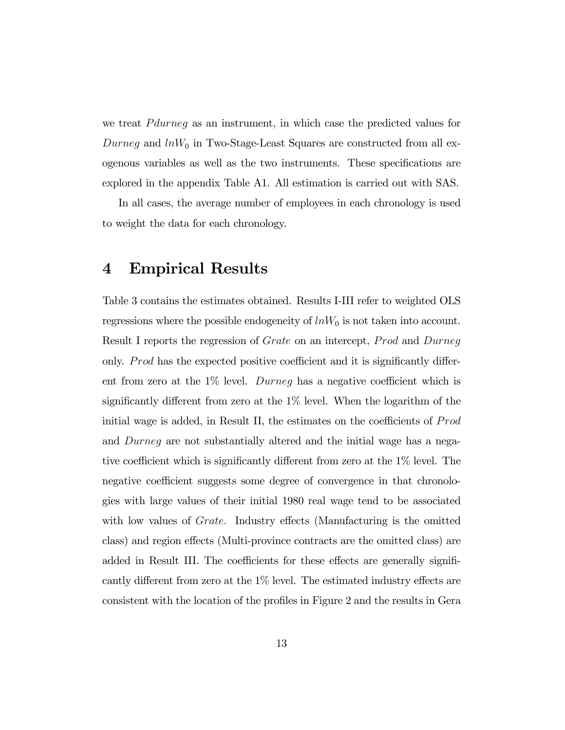we treat *P durneg* as an instrument, in which case the predicted values for Durneg and  $lnW_0$  in Two-Stage-Least Squares are constructed from all exogenous variables as well as the two instruments. These specifications are explored in the appendix Table A1. All estimation is carried out with SAS.

In all cases, the average number of employees in each chronology is used to weight the data for each chronology.

#### 4 Empirical Results

Table 3 contains the estimates obtained. Results I-III refer to weighted OLS regressions where the possible endogeneity of  $lnW_0$  is not taken into account. Result I reports the regression of *Grate* on an intercept, *Prod* and *Durneg* only. Prod has the expected positive coefficient and it is significantly different from zero at the 1% level. Durneg has a negative coefficient which is significantly different from zero at the 1% level. When the logarithm of the initial wage is added, in Result II, the estimates on the coefficients of  $Prod$ and Durneg are not substantially altered and the initial wage has a negative coefficient which is significantly different from zero at the 1% level. The negative coefficient suggests some degree of convergence in that chronologies with large values of their initial 1980 real wage tend to be associated with low values of *Grate*. Industry effects (Manufacturing is the omitted class) and region effects (Multi-province contracts are the omitted class) are added in Result III. The coefficients for these effects are generally significantly different from zero at the 1% level. The estimated industry effects are consistent with the location of the profiles in Figure 2 and the results in Gera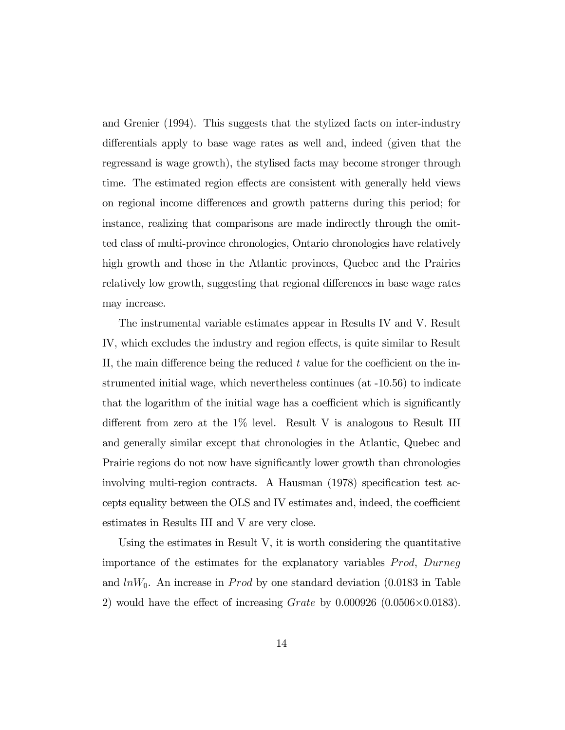and Grenier (1994). This suggests that the stylized facts on inter-industry differentials apply to base wage rates as well and, indeed (given that the regressand is wage growth), the stylised facts may become stronger through time. The estimated region effects are consistent with generally held views on regional income differences and growth patterns during this period; for instance, realizing that comparisons are made indirectly through the omitted class of multi-province chronologies, Ontario chronologies have relatively high growth and those in the Atlantic provinces, Quebec and the Prairies relatively low growth, suggesting that regional differences in base wage rates may increase.

The instrumental variable estimates appear in Results IV and V. Result IV, which excludes the industry and region effects, is quite similar to Result II, the main difference being the reduced t value for the coefficient on the instrumented initial wage, which nevertheless continues (at -10.56) to indicate that the logarithm of the initial wage has a coefficient which is significantly different from zero at the 1% level. Result V is analogous to Result III and generally similar except that chronologies in the Atlantic, Quebec and Prairie regions do not now have significantly lower growth than chronologies involving multi-region contracts. A Hausman (1978) specification test accepts equality between the OLS and IV estimates and, indeed, the coefficient estimates in Results III and V are very close.

Using the estimates in Result V, it is worth considering the quantitative importance of the estimates for the explanatory variables  $Prod$ , Durneg and  $lnW_0$ . An increase in *Prod* by one standard deviation (0.0183 in Table 2) would have the effect of increasing  $Grate$  by 0.000926 (0.0506 $\times$ 0.0183).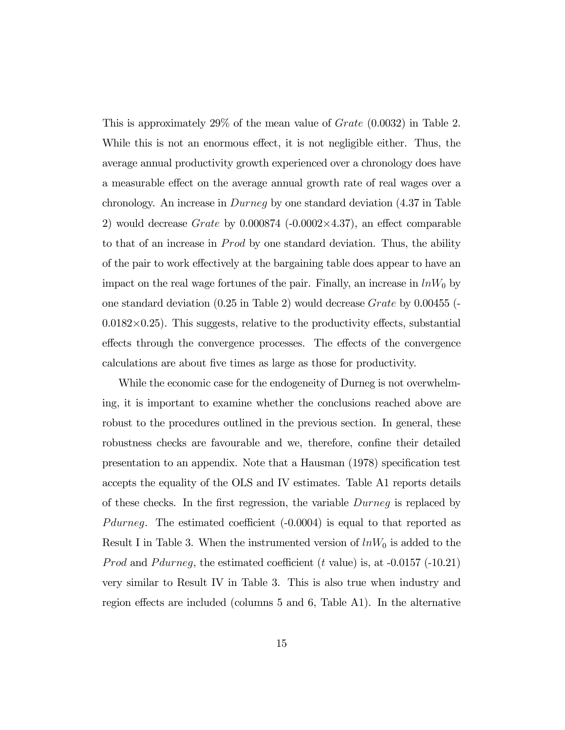This is approximately 29% of the mean value of Grate (0.0032) in Table 2. While this is not an enormous effect, it is not negligible either. Thus, the average annual productivity growth experienced over a chronology does have a measurable effect on the average annual growth rate of real wages over a chronology. An increase in Durneg by one standard deviation (4.37 in Table 2) would decrease  $Grate$  by  $0.000874$  ( $-0.0002\times4.37$ ), an effect comparable to that of an increase in *Prod* by one standard deviation. Thus, the ability of the pair to work effectively at the bargaining table does appear to have an impact on the real wage fortunes of the pair. Finally, an increase in  $lnW_0$  by one standard deviation (0.25 in Table 2) would decrease Grate by 0.00455 (-  $0.0182\times0.25$ . This suggests, relative to the productivity effects, substantial effects through the convergence processes. The effects of the convergence calculations are about five times as large as those for productivity.

While the economic case for the endogeneity of Durneg is not overwhelming, it is important to examine whether the conclusions reached above are robust to the procedures outlined in the previous section. In general, these robustness checks are favourable and we, therefore, confine their detailed presentation to an appendix. Note that a Hausman (1978) specification test accepts the equality of the OLS and IV estimates. Table A1 reports details of these checks. In the first regression, the variable  $During$  is replaced by P during The estimated coefficient  $(-0.0004)$  is equal to that reported as Result I in Table 3. When the instrumented version of  $lnW_0$  is added to the *Prod* and *P durneq*, the estimated coefficient (t value) is, at  $-0.0157$  ( $-10.21$ ) very similar to Result IV in Table 3. This is also true when industry and region effects are included (columns 5 and 6, Table A1). In the alternative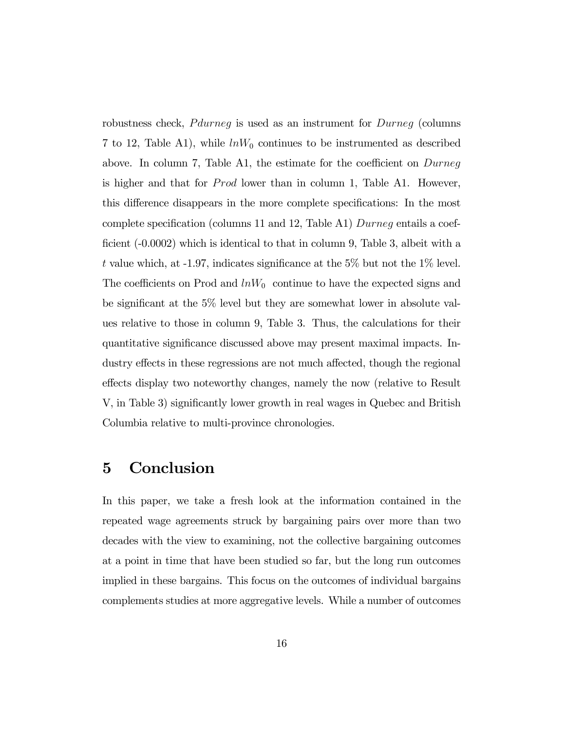robustness check, *P durneq* is used as an instrument for *Durneq* (columns 7 to 12, Table A1), while  $lnW_0$  continues to be instrumented as described above. In column 7, Table A1, the estimate for the coefficient on Durneg is higher and that for  $Prod$  lower than in column 1, Table A1. However, this difference disappears in the more complete specifications: In the most complete specification (columns 11 and 12, Table A1) Durneg entails a coefficient (-0.0002) which is identical to that in column 9, Table 3, albeit with a t value which, at  $-1.97$ , indicates significance at the 5% but not the 1% level. The coefficients on Prod and  $lnW_0$  continue to have the expected signs and be significant at the 5% level but they are somewhat lower in absolute values relative to those in column 9, Table 3. Thus, the calculations for their quantitative significance discussed above may present maximal impacts. Industry effects in these regressions are not much affected, though the regional effects display two noteworthy changes, namely the now (relative to Result V, in Table 3) significantly lower growth in real wages in Quebec and British Columbia relative to multi-province chronologies.

## 5 Conclusion

In this paper, we take a fresh look at the information contained in the repeated wage agreements struck by bargaining pairs over more than two decades with the view to examining, not the collective bargaining outcomes at a point in time that have been studied so far, but the long run outcomes implied in these bargains. This focus on the outcomes of individual bargains complements studies at more aggregative levels. While a number of outcomes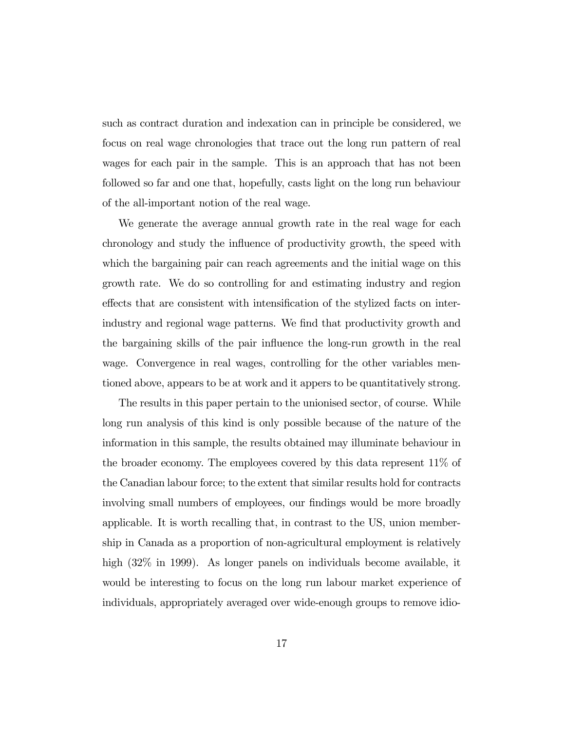such as contract duration and indexation can in principle be considered, we focus on real wage chronologies that trace out the long run pattern of real wages for each pair in the sample. This is an approach that has not been followed so far and one that, hopefully, casts light on the long run behaviour of the all-important notion of the real wage.

We generate the average annual growth rate in the real wage for each chronology and study the influence of productivity growth, the speed with which the bargaining pair can reach agreements and the initial wage on this growth rate. We do so controlling for and estimating industry and region effects that are consistent with intensification of the stylized facts on interindustry and regional wage patterns. We find that productivity growth and the bargaining skills of the pair influence the long-run growth in the real wage. Convergence in real wages, controlling for the other variables mentioned above, appears to be at work and it appers to be quantitatively strong.

The results in this paper pertain to the unionised sector, of course. While long run analysis of this kind is only possible because of the nature of the information in this sample, the results obtained may illuminate behaviour in the broader economy. The employees covered by this data represent 11% of the Canadian labour force; to the extent that similar results hold for contracts involving small numbers of employees, our findings would be more broadly applicable. It is worth recalling that, in contrast to the US, union membership in Canada as a proportion of non-agricultural employment is relatively high (32\%) in 1999). As longer panels on individuals become available, it would be interesting to focus on the long run labour market experience of individuals, appropriately averaged over wide-enough groups to remove idio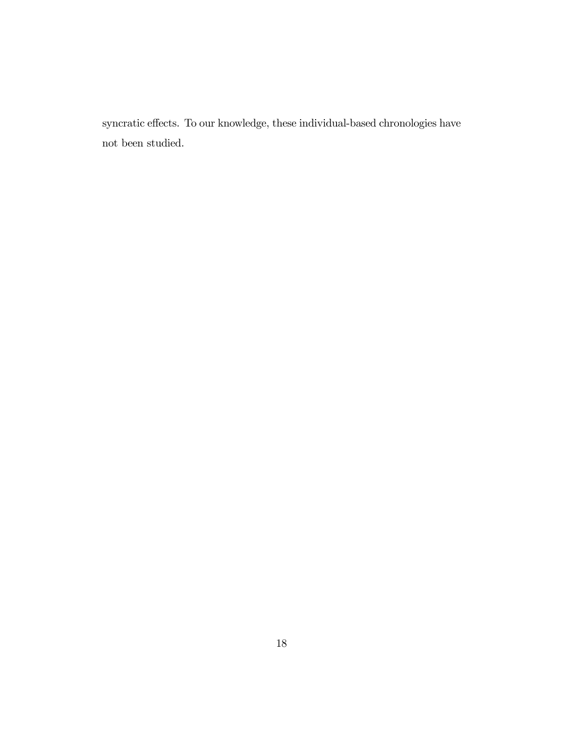syncratic effects. To our knowledge, these individual-based chronologies have not been studied.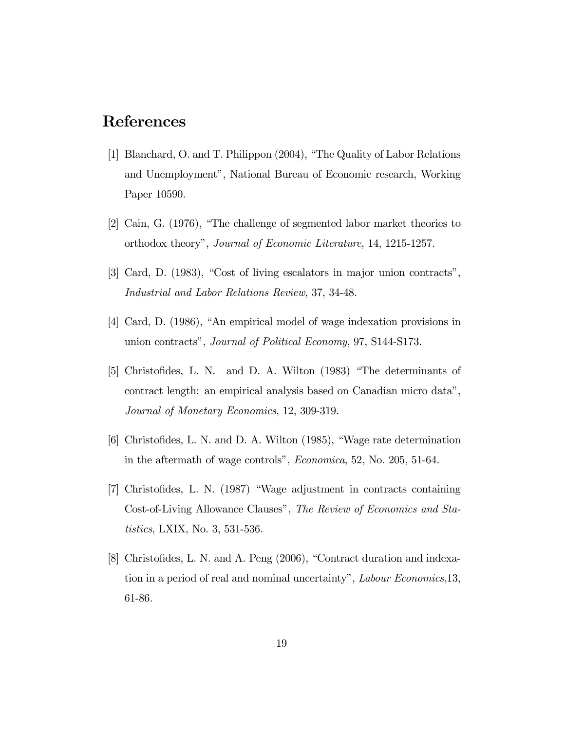# References

- [1] Blanchard, O. and T. Philippon (2004), "The Quality of Labor Relations and Unemployment", National Bureau of Economic research, Working Paper 10590.
- [2] Cain, G. (1976), "The challenge of segmented labor market theories to orthodox theory", Journal of Economic Literature, 14, 1215-1257.
- [3] Card, D. (1983), "Cost of living escalators in major union contracts", Industrial and Labor Relations Review, 37, 34-48.
- [4] Card, D. (1986), "An empirical model of wage indexation provisions in union contracts", Journal of Political Economy, 97, S144-S173.
- [5] Christofides, L. N. and D. A. Wilton (1983) "The determinants of contract length: an empirical analysis based on Canadian micro data", Journal of Monetary Economics, 12, 309-319.
- [6] Christofides, L. N. and D. A. Wilton (1985), "Wage rate determination in the aftermath of wage controls", Economica, 52, No. 205, 51-64.
- [7] Christofides, L. N. (1987) "Wage adjustment in contracts containing Cost-of-Living Allowance Clauses", The Review of Economics and Statistics, LXIX, No. 3, 531-536.
- [8] Christofides, L. N. and A. Peng (2006), "Contract duration and indexation in a period of real and nominal uncertainty", Labour Economics,13, 61-86.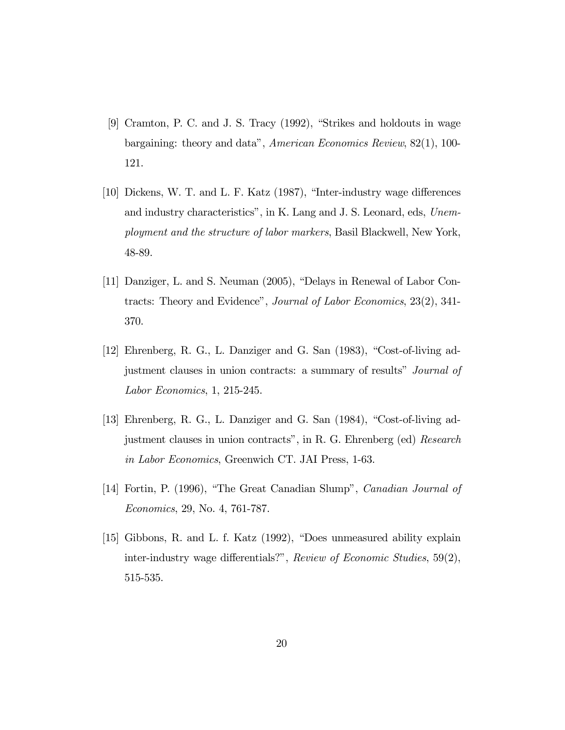- [9] Cramton, P. C. and J. S. Tracy (1992), "Strikes and holdouts in wage bargaining: theory and data", American Economics Review, 82(1), 100- 121.
- [10] Dickens, W. T. and L. F. Katz (1987), "Inter-industry wage differences and industry characteristics", in K. Lang and J. S. Leonard, eds, Unemployment and the structure of labor markers, Basil Blackwell, New York, 48-89.
- [11] Danziger, L. and S. Neuman (2005), "Delays in Renewal of Labor Contracts: Theory and Evidence", Journal of Labor Economics, 23(2), 341- 370.
- [12] Ehrenberg, R. G., L. Danziger and G. San (1983), "Cost-of-living adjustment clauses in union contracts: a summary of results" Journal of Labor Economics, 1, 215-245.
- [13] Ehrenberg, R. G., L. Danziger and G. San (1984), "Cost-of-living adjustment clauses in union contracts", in R. G. Ehrenberg (ed) Research in Labor Economics, Greenwich CT. JAI Press, 1-63.
- [14] Fortin, P. (1996), "The Great Canadian Slump", Canadian Journal of Economics, 29, No. 4, 761-787.
- [15] Gibbons, R. and L. f. Katz (1992), "Does unmeasured ability explain inter-industry wage differentials?", Review of Economic Studies, 59(2), 515-535.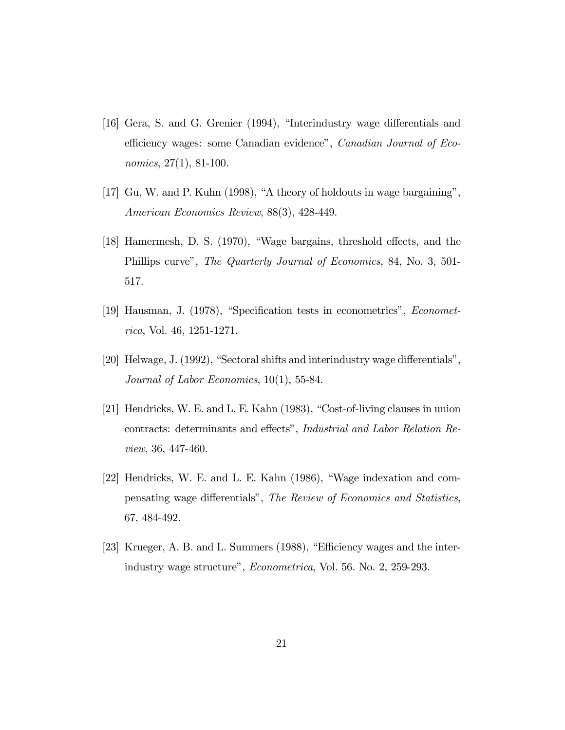- [16] Gera, S. and G. Grenier (1994), "Interindustry wage differentials and efficiency wages: some Canadian evidence", Canadian Journal of Economics, 27(1), 81-100.
- [17] Gu, W. and P. Kuhn (1998), "A theory of holdouts in wage bargaining", American Economics Review, 88(3), 428-449.
- [18] Hamermesh, D. S. (1970), "Wage bargains, threshold effects, and the Phillips curve", The Quarterly Journal of Economics, 84, No. 3, 501- 517.
- [19] Hausman, J. (1978), "Specification tests in econometrics", Econometrica, Vol. 46, 1251-1271.
- [20] Helwage, J. (1992), "Sectoral shifts and interindustry wage differentials", Journal of Labor Economics, 10(1), 55-84.
- [21] Hendricks, W. E. and L. E. Kahn (1983), "Cost-of-living clauses in union contracts: determinants and effects", Industrial and Labor Relation Review, 36, 447-460.
- [22] Hendricks, W. E. and L. E. Kahn (1986), "Wage indexation and compensating wage differentials", The Review of Economics and Statistics, 67, 484-492.
- [23] Krueger, A. B. and L. Summers (1988), "Efficiency wages and the interindustry wage structure", Econometrica, Vol. 56. No. 2, 259-293.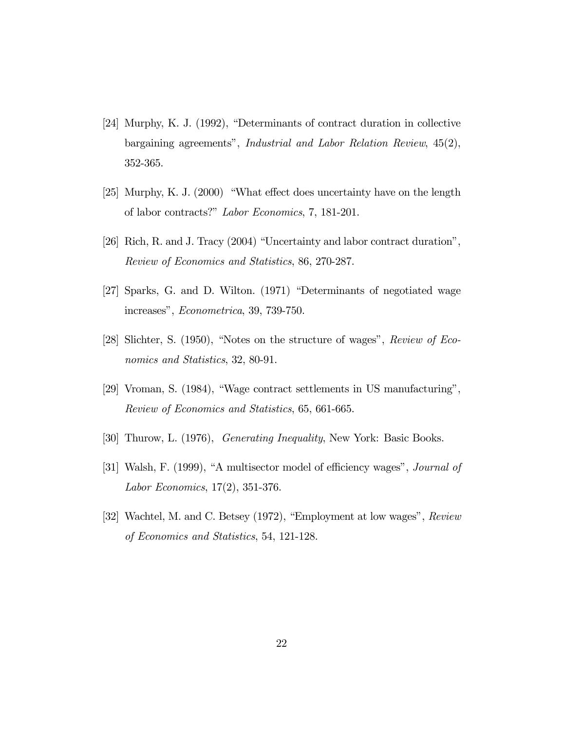- [24] Murphy, K. J. (1992), "Determinants of contract duration in collective bargaining agreements", Industrial and Labor Relation Review, 45(2), 352-365.
- [25] Murphy, K. J. (2000) "What effect does uncertainty have on the length of labor contracts?" Labor Economics, 7, 181-201.
- [26] Rich, R. and J. Tracy (2004) "Uncertainty and labor contract duration", Review of Economics and Statistics, 86, 270-287.
- [27] Sparks, G. and D. Wilton. (1971) "Determinants of negotiated wage increases", Econometrica, 39, 739-750.
- [28] Slichter, S. (1950), "Notes on the structure of wages", Review of Economics and Statistics, 32, 80-91.
- [29] Vroman, S. (1984), "Wage contract settlements in US manufacturing", Review of Economics and Statistics, 65, 661-665.
- [30] Thurow, L. (1976), Generating Inequality, New York: Basic Books.
- [31] Walsh, F. (1999), "A multisector model of efficiency wages", Journal of Labor Economics, 17(2), 351-376.
- [32] Wachtel, M. and C. Betsey (1972), "Employment at low wages", Review of Economics and Statistics, 54, 121-128.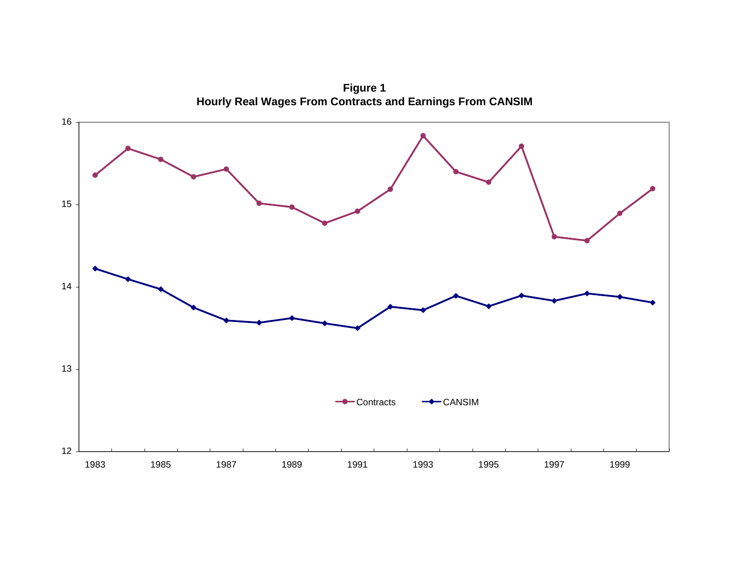**Figure 1 Hourly Real Wages From Contracts and Earnings From CANSIM** 

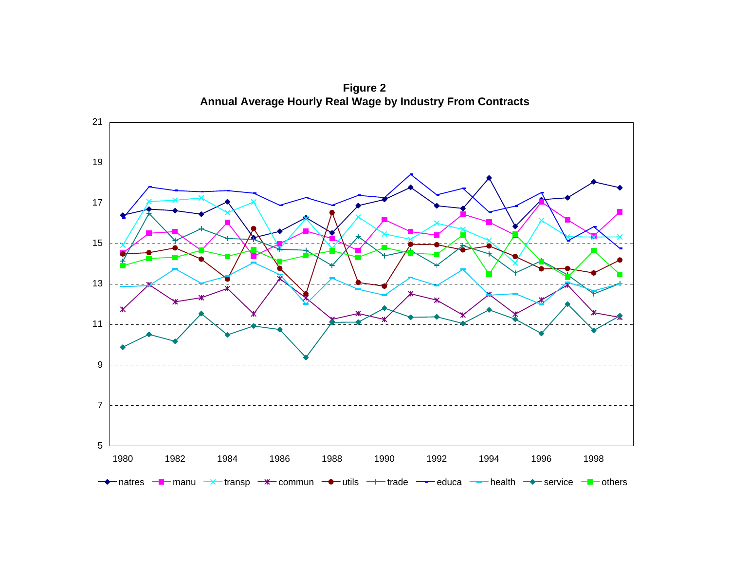

**Figure 2 Annual Average Hourly Real Wage by Industry From Contracts**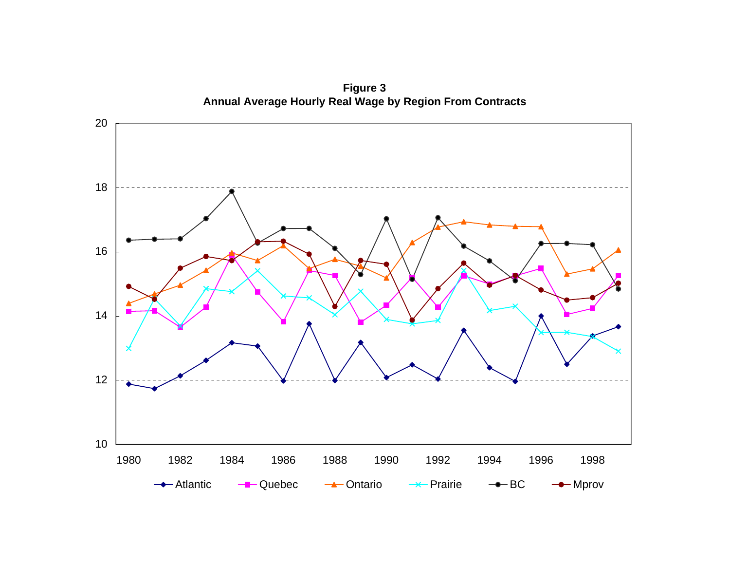

**Figure 3**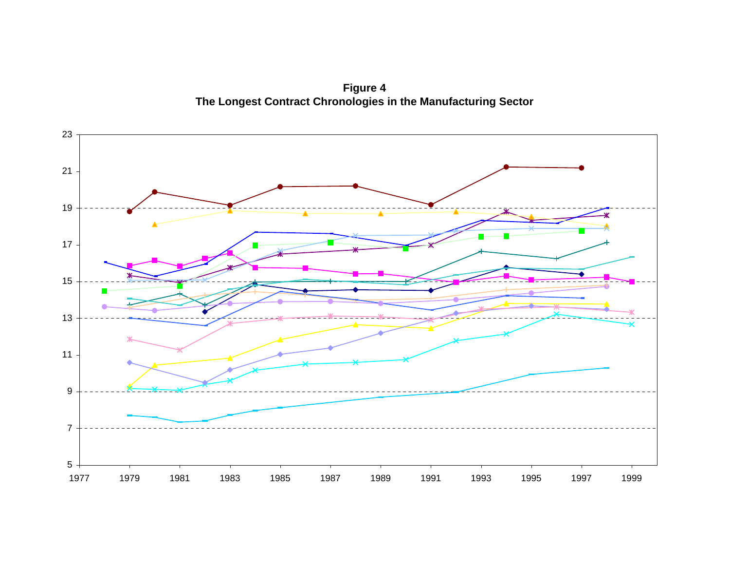**Figure 4 The Longest Contract Chronologies in the Manufacturing Sector**

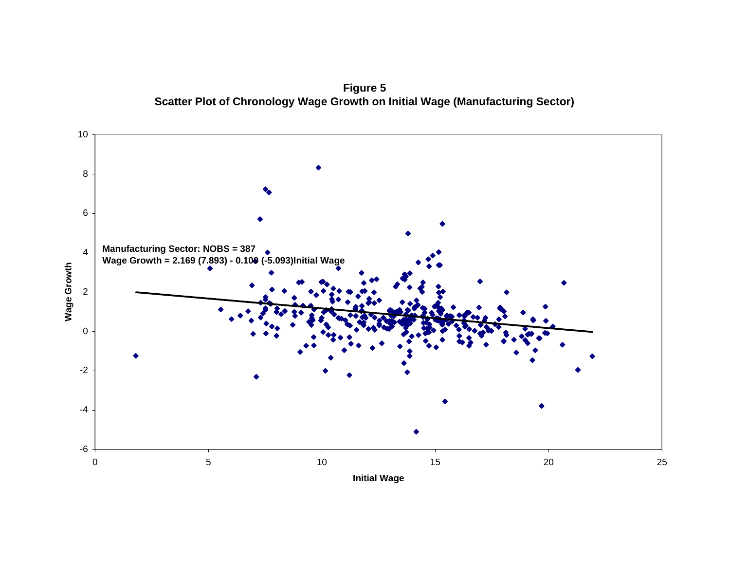**Figure 5 Scatter Plot of Chronology Wage Growth on Initial Wage (Manufacturing Sector)**

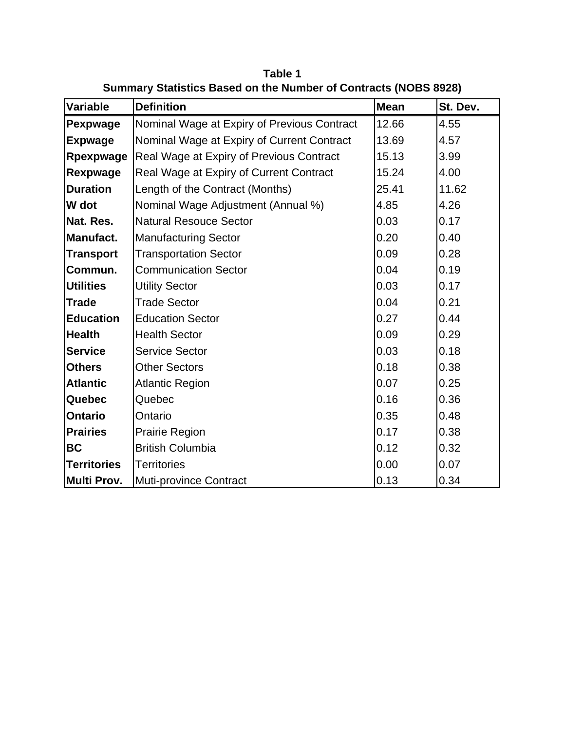| <b>Variable</b>    | <b>Definition</b>                           | <b>Mean</b> | St. Dev. |
|--------------------|---------------------------------------------|-------------|----------|
| Pexpwage           | Nominal Wage at Expiry of Previous Contract | 12.66       | 4.55     |
| <b>Expwage</b>     | Nominal Wage at Expiry of Current Contract  | 13.69       | 4.57     |
| Rpexpwage          | Real Wage at Expiry of Previous Contract    | 15.13       | 3.99     |
| Rexpwage           | Real Wage at Expiry of Current Contract     | 15.24       | 4.00     |
| <b>Duration</b>    | Length of the Contract (Months)             | 25.41       | 11.62    |
| W dot              | Nominal Wage Adjustment (Annual %)          | 4.85        | 4.26     |
| Nat. Res.          | <b>Natural Resouce Sector</b>               | 0.03        | 0.17     |
| Manufact.          | <b>Manufacturing Sector</b>                 | 0.20        | 0.40     |
| <b>Transport</b>   | <b>Transportation Sector</b>                | 0.09        | 0.28     |
| Commun.            | <b>Communication Sector</b>                 | 0.04        | 0.19     |
| <b>Utilities</b>   | <b>Utility Sector</b>                       | 0.03        | 0.17     |
| <b>Trade</b>       | <b>Trade Sector</b>                         | 0.04        | 0.21     |
| <b>Education</b>   | <b>Education Sector</b>                     | 0.27        | 0.44     |
| <b>Health</b>      | <b>Health Sector</b>                        | 0.09        | 0.29     |
| <b>Service</b>     | <b>Service Sector</b>                       | 0.03        | 0.18     |
| <b>Others</b>      | <b>Other Sectors</b>                        | 0.18        | 0.38     |
| <b>Atlantic</b>    | <b>Atlantic Region</b>                      | 0.07        | 0.25     |
| Quebec             | Quebec                                      | 0.16        | 0.36     |
| <b>Ontario</b>     | Ontario                                     | 0.35        | 0.48     |
| <b>Prairies</b>    | Prairie Region                              | 0.17        | 0.38     |
| <b>BC</b>          | <b>British Columbia</b>                     | 0.12        | 0.32     |
| <b>Territories</b> | <b>Territories</b>                          | 0.00        | 0.07     |
| Multi Prov.        | <b>Muti-province Contract</b>               | 0.13        | 0.34     |

**Table 1 Summary Statistics Based on the Number of Contracts (NOBS 8928)**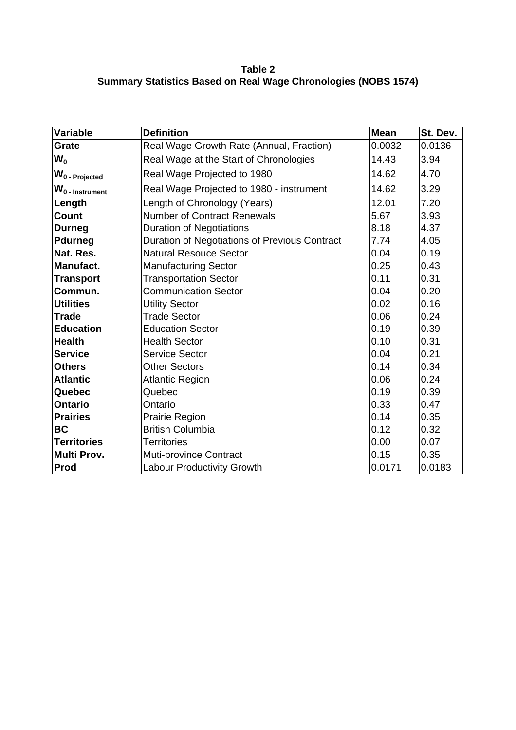**Table 2 Summary Statistics Based on Real Wage Chronologies (NOBS 1574)**

| <b>Variable</b>    | <b>Definition</b>                             | Mean   | St. Dev. |
|--------------------|-----------------------------------------------|--------|----------|
| Grate              | Real Wage Growth Rate (Annual, Fraction)      | 0.0032 | 0.0136   |
| $W_0$              | Real Wage at the Start of Chronologies        | 14.43  | 3.94     |
| $W_0$ - Projected  | Real Wage Projected to 1980                   | 14.62  | 4.70     |
| $W_0$ - Instrument | Real Wage Projected to 1980 - instrument      | 14.62  | 3.29     |
| Length             | Length of Chronology (Years)                  | 12.01  | 7.20     |
| <b>Count</b>       | <b>Number of Contract Renewals</b>            | 5.67   | 3.93     |
| <b>Durneg</b>      | <b>Duration of Negotiations</b>               | 8.18   | 4.37     |
| <b>Pdurneg</b>     | Duration of Negotiations of Previous Contract | 7.74   | 4.05     |
| Nat. Res.          | <b>Natural Resouce Sector</b>                 | 0.04   | 0.19     |
| <b>Manufact.</b>   | <b>Manufacturing Sector</b>                   | 0.25   | 0.43     |
| <b>Transport</b>   | <b>Transportation Sector</b>                  | 0.11   | 0.31     |
| Commun.            | <b>Communication Sector</b>                   | 0.04   | 0.20     |
| <b>Utilities</b>   | <b>Utility Sector</b>                         | 0.02   | 0.16     |
| <b>Trade</b>       | <b>Trade Sector</b>                           | 0.06   | 0.24     |
| <b>Education</b>   | <b>Education Sector</b>                       | 0.19   | 0.39     |
| <b>Health</b>      | <b>Health Sector</b>                          | 0.10   | 0.31     |
| <b>Service</b>     | <b>Service Sector</b>                         | 0.04   | 0.21     |
| <b>Others</b>      | <b>Other Sectors</b>                          | 0.14   | 0.34     |
| <b>Atlantic</b>    | <b>Atlantic Region</b>                        | 0.06   | 0.24     |
| Quebec             | Quebec                                        | 0.19   | 0.39     |
| <b>Ontario</b>     | Ontario                                       | 0.33   | 0.47     |
| <b>Prairies</b>    | Prairie Region                                | 0.14   | 0.35     |
| <b>BC</b>          | <b>British Columbia</b>                       | 0.12   | 0.32     |
| <b>Territories</b> | <b>Territories</b>                            | 0.00   | 0.07     |
| <b>Multi Prov.</b> | <b>Muti-province Contract</b>                 | 0.15   | 0.35     |
| Prod               | <b>Labour Productivity Growth</b>             | 0.0171 | 0.0183   |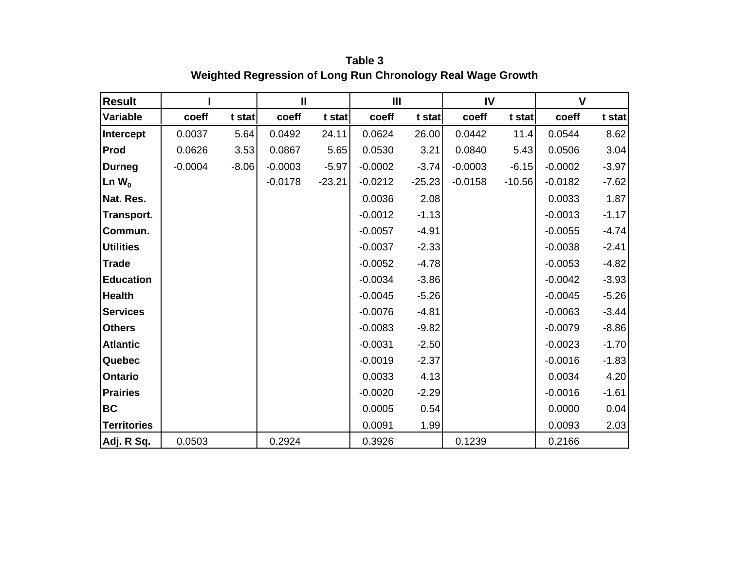| <b>Result</b>      |           |         | $\mathbf{I}$ |          | Ш         |          | IV        |          | $\mathsf{V}$ |         |
|--------------------|-----------|---------|--------------|----------|-----------|----------|-----------|----------|--------------|---------|
| Variable           | coeff     | t stat  | coeff        | t stat   | coeff     | t stat   | coeff     | t stat   | coeff        | t stat  |
| Intercept          | 0.0037    | 5.64    | 0.0492       | 24.11    | 0.0624    | 26.00    | 0.0442    | 11.4     | 0.0544       | 8.62    |
| Prod               | 0.0626    | 3.53    | 0.0867       | 5.65     | 0.0530    | 3.21     | 0.0840    | 5.43     | 0.0506       | 3.04    |
| <b>Durneg</b>      | $-0.0004$ | $-8.06$ | $-0.0003$    | $-5.97$  | $-0.0002$ | $-3.74$  | $-0.0003$ | $-6.15$  | $-0.0002$    | $-3.97$ |
| Ln $W_0$           |           |         | $-0.0178$    | $-23.21$ | $-0.0212$ | $-25.23$ | $-0.0158$ | $-10.56$ | $-0.0182$    | $-7.62$ |
| Nat. Res.          |           |         |              |          | 0.0036    | 2.08     |           |          | 0.0033       | 1.87    |
| <b>Transport.</b>  |           |         |              |          | $-0.0012$ | $-1.13$  |           |          | $-0.0013$    | $-1.17$ |
| Commun.            |           |         |              |          | $-0.0057$ | $-4.91$  |           |          | $-0.0055$    | $-4.74$ |
| <b>Utilities</b>   |           |         |              |          | $-0.0037$ | $-2.33$  |           |          | $-0.0038$    | $-2.41$ |
| <b>Trade</b>       |           |         |              |          | $-0.0052$ | $-4.78$  |           |          | $-0.0053$    | $-4.82$ |
| <b>Education</b>   |           |         |              |          | $-0.0034$ | $-3.86$  |           |          | $-0.0042$    | $-3.93$ |
| <b>Health</b>      |           |         |              |          | $-0.0045$ | $-5.26$  |           |          | $-0.0045$    | $-5.26$ |
| <b>Services</b>    |           |         |              |          | $-0.0076$ | $-4.81$  |           |          | $-0.0063$    | $-3.44$ |
| <b>Others</b>      |           |         |              |          | $-0.0083$ | $-9.82$  |           |          | $-0.0079$    | $-8.86$ |
| <b>Atlantic</b>    |           |         |              |          | $-0.0031$ | $-2.50$  |           |          | $-0.0023$    | $-1.70$ |
| <b>Quebec</b>      |           |         |              |          | $-0.0019$ | $-2.37$  |           |          | $-0.0016$    | $-1.83$ |
| <b>Ontario</b>     |           |         |              |          | 0.0033    | 4.13     |           |          | 0.0034       | 4.20    |
| <b>Prairies</b>    |           |         |              |          | $-0.0020$ | $-2.29$  |           |          | $-0.0016$    | $-1.61$ |
| <b>BC</b>          |           |         |              |          | 0.0005    | 0.54     |           |          | 0.0000       | 0.04    |
| <b>Territories</b> |           |         |              |          | 0.0091    | 1.99     |           |          | 0.0093       | 2.03    |
| Adj. R Sq.         | 0.0503    |         | 0.2924       |          | 0.3926    |          | 0.1239    |          | 0.2166       |         |

**Table 3 Weighted Regression of Long Run Chronology Real Wage Growth**